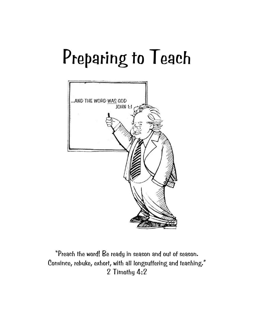# Preparing to Teach



"Preach the word! Be ready in season and out of season. Convince, rebuke, exhort, with all longsuffering and teaching." 2 Timothy 4:2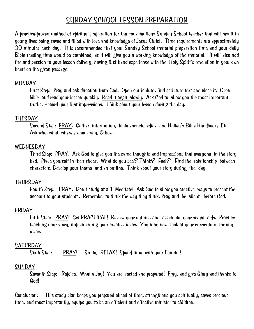### SUNDAY SCHOOL LESSON PREPARATION

A practice-proven method of spiritual preparation for the conscientious Sunday School teacher that will result in young lives being saved and filled with love and knowledge of Jesus Christ. Time requirements are approximately 30 minutes each day. It is recommended that your Sunday School material preparation time and your daily Bible reading time would be combined, as it will give you a working knowledge of the material. It will also add fire and passion to your lesson delivery, having first hand experience with the Holy Spirit's revelation in your own heart on the given passage.

#### MONDAY

 First Step: Pray and ask direction from God. Open curriculum, find scripture text and close it. Open bible and read your lesson quickly. Read it again slowly. Ask God to show you the most important truths. Record your first impressions. Think about your lesson during the day.

### TUESDAY

 Second Step: PRAY. Gather information, bible encyclopedias and Halley's Bible Handbook, Etc. Ask who, what, where , when, why, & how.

### WEDNESDAY

 Third Step: PRAY. Ask God to give you the same thoughts and impressions that everyone in the story had. Place yourself in their shoes. What do you see? Think? Feel? Find the relationship between characters. Develop your theme and an outline. Think about your story during the day.

### THURSDAY

 Fourth Step: PRAY. Don't study at all! Meditate! Ask God to show you creative ways to present the account to your students. Remember to think the way they think. Pray and be silent before God.

### FRIDAY

 Fifth Step: PRAY! Get PRACTICAL! Review your outline, and assemble your visual aids. Practice teaching your story, implementing your creative ideas. You may now look at your curriculum for any ideas.

### SATURDAY

Sixth Step: PRAY! Smile, RELAX! Spend time with your Family !

### SUNDAY

 Seventh Step: Rejoice. What a Joy! You are rested and prepared! Pray, and give Glory and thanks to God!

Conclusion: This study plan keeps you prepared ahead of time, strengthens you spiritually, saves precious time, and most importantly, equips you to be an efficient and effective minister to children.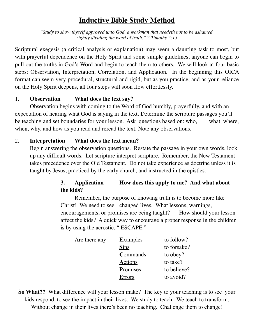### **Inductive Bible Study Method**

*"Study to show thyself approved unto God, a workman that needeth not to be ashamed, rightly dividing the word of truth." 2 Timothy 2:15*

Scriptural exegesis (a critical analysis or explanation) may seem a daunting task to most, but with prayerful dependence on the Holy Spirit and some simple guidelines, anyone can begin to pull out the truths in God's Word and begin to teach them to others. We will look at four basic steps: Observation, Interpretation, Correlation, and Application. In the beginning this OICA format can seem very procedural, structural and rigid, but as you practice, and as your reliance on the Holy Spirit deepens, all four steps will soon flow effortlessly.

### 1. **Observation What does the text say?**

Observation begins with coming to the Word of God humbly, prayerfully, and with an expectation of hearing what God is saying in the text. Determine the scripture passages you'll be teaching and set boundaries for your lesson. Ask questions based on: who, what, where, when, why, and how as you read and reread the text. Note any observations.

### 2. **Interpretation What does the text mean?**

Begin answering the observation questions. Restate the passage in your own words, look up any difficult words. Let scripture interpret scripture. Remember, the New Testament takes precedence over the Old Testament. Do not take experience as doctrine unless it is taught by Jesus, practiced by the early church, and instructed in the epistles.

### **3. Application How does this apply to me? And what about the kids?**

Remember, the purpose of knowing truth is to become more like Christ! We need to see changed lives. What lessons, warnings, encouragements, or promises are being taught? How should your lesson affect the kids? A quick way to encourage a proper response in the children is by using the acrostic, "ESCAPE."

| Are there any | <b>Examples</b> | to follow?  |
|---------------|-----------------|-------------|
|               | <b>Sins</b>     | to forsake? |
|               | Commands        | to obey?    |
|               | <b>Actions</b>  | to take?    |
|               | Promises        | to believe? |
|               | Errors          | to avoid?   |

**So What??** What difference will your lesson make? The key to your teaching is to see your kids respond, to see the impact in their lives. We study to teach. We teach to transform. Without change in their lives there's been no teaching. Challenge them to change!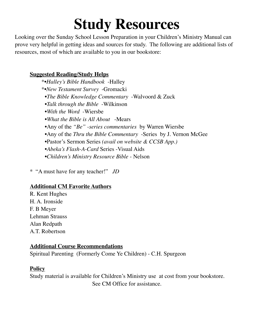## **Study Resources**

Looking over the Sunday School Lesson Preparation in your Children's Ministry Manual can prove very helpful in getting ideas and sources for study. The following are additional lists of resources, most of which are available to you in our bookstore:

### **Suggested Reading/Study Helps**

 \*•*Halley's Bible Handbook* -Halley \*•*New Testament Survey* -Gromacki •*The Bible Knowledge Commentary* -Walvoord & Zuck •*Talk through the Bible* -Wilkinson •*With the Word* -Wiersbe •*What the Bible is All About* -Mears •Any of the *"Be" -series commentaries* by Warren Wiersbe •Any of the *Thru the Bible Commentary* -Series by J. Vernon McGee •Pastor's Sermon Series *(avail on website & CCSB App.)* •*Abeka's Flash-A-Card* Series -Visual Aids •*Children's Ministry Resource Bible* - Nelson

\* "A must have for any teacher!" *JD*

### **Additional CM Favorite Authors**

R. Kent Hughes H. A. Ironside F. B Meyer Lehman Strauss Alan Redpath A.T. Robertson

### **Additional Course Recommendations**

Spiritual Parenting (Formerly Come Ye Children) - C.H. Spurgeon

### **Policy**

Study material is available for Children's Ministry use at cost from your bookstore. See CM Office for assistance.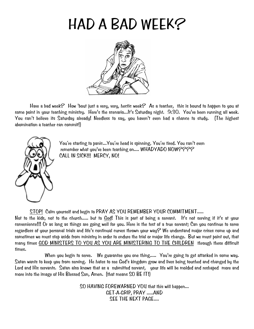## HAD A BAD WEEK?



 Have a bad week? How 'bout just a very, very, hectic week? As a teacher, this is bound to happen to you at some point in your teaching ministry. Here's the scenario...It's Saturday night. 9:30. You've been running all week. You can't believe its Saturday already! Needless to say, you haven't even had a chance to study. (The highest abomination a teacher can commit!)



You're starting to panic...You're head is spinning. You're tired. You can't even remember what you've been teaching on.... WHADYADO NOW???? CALL IN SICK!!! MERCY, NO!

STOP! Calm yourself and begin to PRAY AS YOU REMEMBER YOUR COMMITMENT.....

Not to the kids, not to the church..... but to God! This is part of being a servant. It's not serving if it's at your convenience!!! Or as long as things are going well for you. Here is the test of a true servant; Can you continue to serve regardless of your personal trials and life's continual curves thrown your way? We understand major crises come up and sometimes we must step aside from ministry in order to endure the trial or major life change. But we must point out, that many times GOD MINISTERS TO YOU AS YOU ARE MINISTERING TO THE CHILDREN through these difficult times.

When you begin to serve. We guarantee you one thing..... You're going to get attacked in some way. Satan wants to keep you from serving. He hates to see God's kingdom grow and lives being touched and changed by the Lord and His servants. Satan also knows that as a submitted servant, your life will be molded and reshaped more and more into the image of His Blessed Son, Amen. (that means SO BE IT!)

> SO HAVING FOREWARNED YOU that this will happen... GET-A-GRIP, PRAY .....AND SEE THE NEXT PAGE....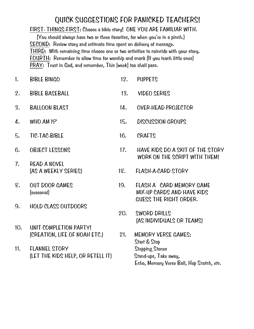### QUICK SUGGESTIONS FOR PANICKED TEACHERS!

FIRST- THINGS-FIRST: Choose a bible story! ONE YOU ARE FAMILIAR WITH.

 (You should always have two or three favorites, for when you're in a pinch.) SECOND: Review story and estimate time spent on delivery of message. THIRD: With remaining time choose one or two activities to coincide with your story. FOURTH: Remember to allow time for worship and snack (If you teach little ones) PRAY: Trust in God, and remember, This [week] too shall pass.

- 1. BIBLE BINGO 12. PUPPETS 2. BIBLE BASEBALL 13. VIDEO SERIES 3. BALLOON BLAST 14. OVER-HEAD PROJECTOR 4. WHO AM I? 15. DISCUSSION GROUPS
- 5. TIC-TAC-BIBLE 16. CRAFTS
- 
- 7. READ A NOVEL (AS A WEEKLY SERIES) 18. FLASH-A-CARD STORY
- 8. OUT DOOR GAMES 19. FLASH A CARD MEMORY GAME
- 9. HOLD CLASS OUTDOORS
- 10. UNIT COMPLETION PARTY! (CREATION, LIFE OF NOAH ETC.) 21. MEMORY VERSE GAMES:
- 11. FLANNEL STORY Stepping Stones (LET THE KIDS HELP, OR RETELL IT) Stand-ups, Take away,
- 
- 
- 6. OBJECT LESSONS 17. HAVE KIDS DO A SKIT OF THE STORY WORK ON THE SCRIPT WITH THEM!
	-
	- (seasonal) MIX-UP CARDS AND HAVE KIDS GUESS THE RIGHT ORDER.
		- 20. SWORD DRILLS (AS INDIVIDUALS OR TEAMS)
			- Start & Stop Echo, Memory Verse Ball, Hop Scotch, etc.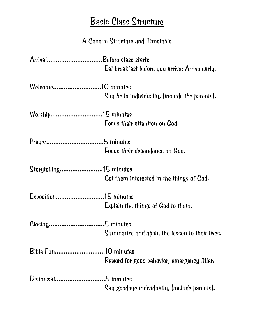### Basic Class Structure

### A Generic Structure and Timetable

| ArrivalBefore class starts |                                                |
|----------------------------|------------------------------------------------|
|                            | Eat breakfast before you arrive; Arrive early. |
|                            |                                                |
|                            | Say hello individually, (include the parents). |
| Worship15 minutes          |                                                |
|                            | Focus their attention on God.                  |
|                            |                                                |
|                            | Focus their dependence on God.                 |
| Storytelling15 minutes     |                                                |
|                            | Get them interested in the things of God.      |
| Exposition15 minutes       |                                                |
|                            | Explain the things of God to them.             |
|                            |                                                |
|                            | Summarize and apply the lesson to their lives. |
|                            |                                                |
|                            | Reward for good behavior, emergency filler.    |
|                            |                                                |
|                            | Say goodbye individually, (include parents).   |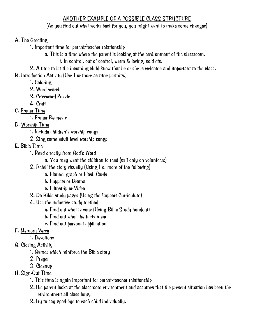### ANOTHER EXAMPLE OF A POSSIBLE CLASS STRUCTURE

### (As you find out what works best for you, you might want to make some changes)

### A. The Greeting

- 1. Important time for parent/teacher relationship
	- a. This is a time where the parent is looking at the environment of the classroom.
		- i. In control, out of control, warm & loving, cold etc.
- 2. A time to let the incoming child know that he or she is welcome and important to the class.

B. Introduction Activity (Use 1 or more as time permits.)

- 1. Coloring
- 2. Word search
- 3. Crossword Puzzle
- 4. Craft
- C. Prayer Time
	- 1. Prayer Requests

### D. Worship Time

- 1. Include children's worship songs
- 2. Sing some adult level worship songs
- E. Bible Time
	- 1. Read directly from God's Word
		- a. You may want the children to read (call only on volunteers)
	- 2. Retell the story visually (Using 1 or more of the following)
		- a. Flannel graph or Flash Cards
		- b. Puppets or Drama
		- c. Filmstrip or Video
	- 3. Do Bible study pages (Using the Support Curriculum)
	- 4. Use the inductive study method
		- a. Find out what is says (Using Bible Study handout)
		- b. Find out what the facts mean
		- c. Find out personal application

### F. Memory Verse

- 1. Devotions
- G. Closing Activity
	- 1. Games which reinforce the Bible story
	- 2. Prayer
	- 3. Cleanup

### H. Sign-Out Time

- 1. This time is again important for parent-teacher relationship
- 2.The parent looks at the classroom environment and assumes that the present situation has been the environment all class long.
- 3.Try to say good-bye to each child individually.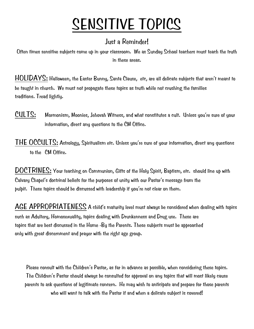## SENSITIVE TOPICS

### Just a Reminder!

Often times sensitive subjects come up in your classroom. We as Sunday School teachers must teach the truth in these areas.

HOLIDAYS: Halloween, the Easter Bunny, Santa Clause, etc, are all delicate subjects that aren't meant to be taught in church. We must not propagate these topics as truth while not crushing the families traditions. Tread lightly.

CULTS: Mormonism, Moonies, Jehovah Witness, and what constitutes a cult. Unless you're sure of your information, direct any questions to the CM Office.

THE OCCULTS: Astrology, Spiritualism etc. Unless you're sure of your information, direct any questions to the CM Office.

DOCTRINES: Your teaching on Communion, Gifts of the Holy Spirit, Baptism, etc. should line up with Calvary Chapel's doctrinal beliefs for the purposes of unity with our Pastor's message from the pulpit. These topics should be discussed with leadership if you're not clear on them.

AGE APPROPRIATENESS A child's maturity level must always be considered when dealing with topics such as Adultery, Homosexuality, topics dealing with Drunkenness and Drug use. These are topics that are best discussed in the Home -By the Parents. These subjects must be approached only with great discernment and prayer with the right age group.

Please consult with the Children's Pastor, as far in advance as possible, when considering these topics. The Children's Pastor should always be consulted for approval on any topics that will most likely cause parents to ask questions of legitimate concern. He may wish to anticipate and prepare for those parents who will want to talk with the Pastor if and when a delicate subject is covered!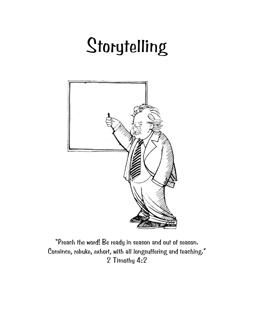# Storytelling



"Preach the word! Be ready in season and out of season. Convince, rebuke, exhort, with all longsuffering and teaching." 2 Timothy 4:2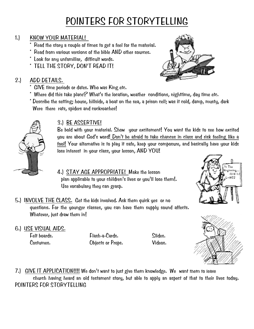### POINTERS FOR STORYTELLING

### 1.) KNOW YOUR MATERIAL!

- Read the story a couple of times to get a feel for the material.
- Read from various versions of the bible AND other sources.
- \* Look for any unfamiliar, difficult words.
- \* TELL THE STORY, DON'T READ IT!

### 2.) ADD DETAILS.

- \* GIVE time periods or dates. Who was King etc.
- Where did this take place? What's the location, weather conditions, nighttime, day time etc.
- \* Describe the setting; house, hillside, a boat on the sea, a prison cell; was it cold, damp, musty, dark Were there rats, spiders and cockroaches!



### 3.) BE ASSERTIVE!

Be bold with your material. Show your excitement! You want the kids to see how excited you are about God's word! Don't be afraid to take chances in class and risk feeling like a fool! Your alternative is to play it safe, keep your composure, and basically have your kids lose interest in your class, your lesson, AND YOU!

4.) STAY AGE APPROPRIATE! Make the lesson plan applicable to your children's lives or you'll lose them!. Use vocabulary they can grasp.



- 5.) INVOLVE THE CLASS. Get the kids involved. Ask them quick yes or no questions. For the younger classes, you can have them supply sound affects. Whatever, just draw them in!
- 6.) USE VISUAL AIDS.

 Felt boards. Flash-a-Cards. Slides. Costumes. Objects or Props. Videos.



7.) GIVE IT APPLICATION!!!! We don't want to just give them knowledge. We want them to leave church having heard an old testament story, but able to apply an aspect of that to their lives today. POINTERS FOR STORYTELLING